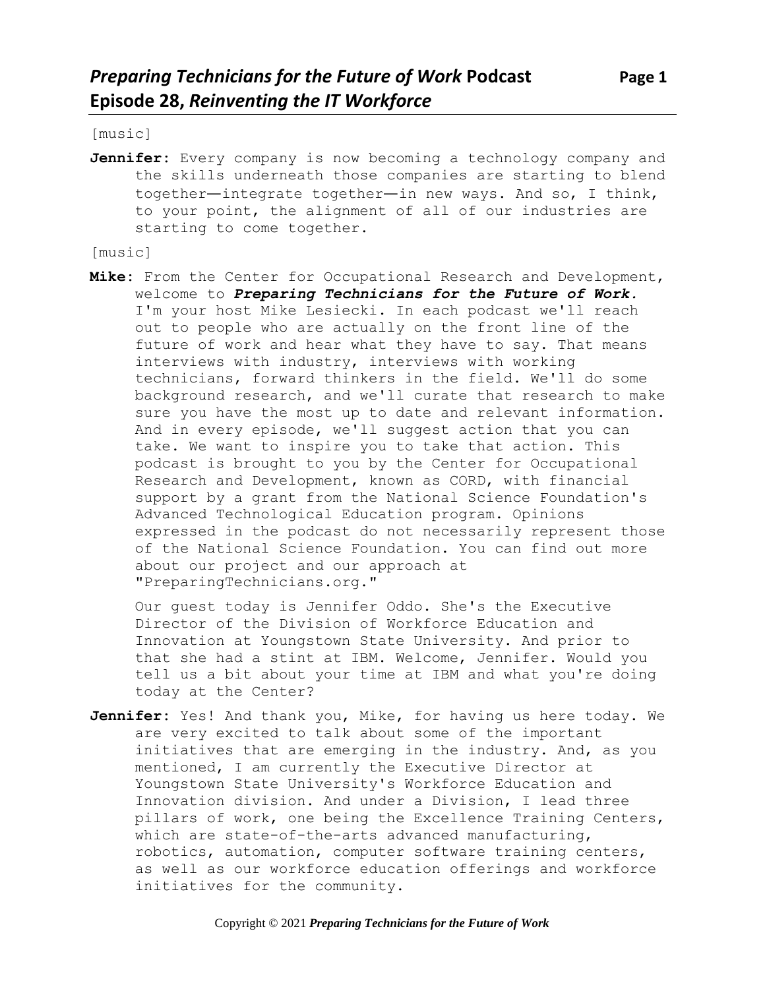[music]

Jennifer: Every company is now becoming a technology company and the skills underneath those companies are starting to blend together—integrate together—in new ways. And so, I think, to your point, the alignment of all of our industries are starting to come together.

[music]

**Mike:** From the Center for Occupational Research and Development, welcome to *Preparing Technicians for the Future of Work.* I'm your host Mike Lesiecki. In each podcast we'll reach out to people who are actually on the front line of the future of work and hear what they have to say. That means interviews with industry, interviews with working technicians, forward thinkers in the field. We'll do some background research, and we'll curate that research to make sure you have the most up to date and relevant information. And in every episode, we'll suggest action that you can take. We want to inspire you to take that action. This podcast is brought to you by the Center for Occupational Research and Development, known as CORD, with financial support by a grant from the National Science Foundation's Advanced Technological Education program. Opinions expressed in the podcast do not necessarily represent those of the National Science Foundation. You can find out more about our project and our approach at "PreparingTechnicians.org."

Our guest today is Jennifer Oddo. She's the Executive Director of the Division of Workforce Education and Innovation at Youngstown State University. And prior to that she had a stint at IBM. Welcome, Jennifer. Would you tell us a bit about your time at IBM and what you're doing today at the Center?

**Jennifer:** Yes! And thank you, Mike, for having us here today. We are very excited to talk about some of the important initiatives that are emerging in the industry. And, as you mentioned, I am currently the Executive Director at Youngstown State University's Workforce Education and Innovation division. And under a Division, I lead three pillars of work, one being the Excellence Training Centers, which are state-of-the-arts advanced manufacturing, robotics, automation, computer software training centers, as well as our workforce education offerings and workforce initiatives for the community.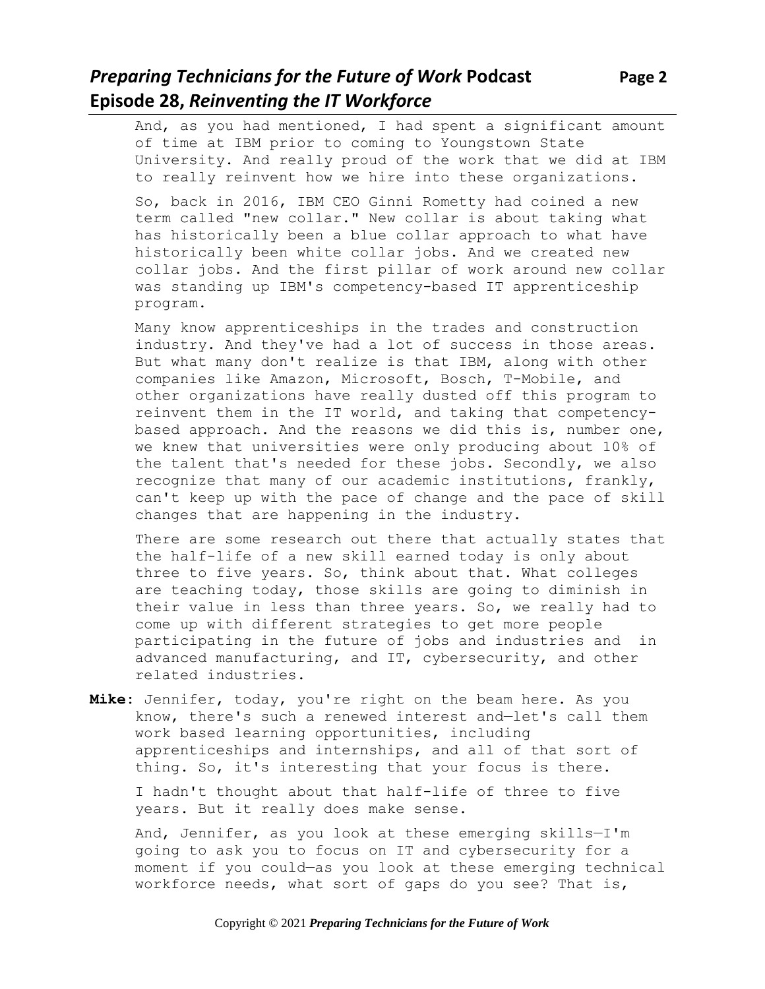# *Preparing Technicians for the Future of Work* **Podcast Page 2 Episode 28,** *Reinventing the IT Workforce*

And, as you had mentioned, I had spent a significant amount of time at IBM prior to coming to Youngstown State University. And really proud of the work that we did at IBM to really reinvent how we hire into these organizations.

So, back in 2016, IBM CEO Ginni Rometty had coined a new term called "new collar." New collar is about taking what has historically been a blue collar approach to what have historically been white collar jobs. And we created new collar jobs. And the first pillar of work around new collar was standing up IBM's competency-based IT apprenticeship program.

Many know apprenticeships in the trades and construction industry. And they've had a lot of success in those areas. But what many don't realize is that IBM, along with other companies like Amazon, Microsoft, Bosch, T-Mobile, and other organizations have really dusted off this program to reinvent them in the IT world, and taking that competencybased approach. And the reasons we did this is, number one, we knew that universities were only producing about 10% of the talent that's needed for these jobs. Secondly, we also recognize that many of our academic institutions, frankly, can't keep up with the pace of change and the pace of skill changes that are happening in the industry.

There are some research out there that actually states that the half-life of a new skill earned today is only about three to five years. So, think about that. What colleges are teaching today, those skills are going to diminish in their value in less than three years. So, we really had to come up with different strategies to get more people participating in the future of jobs and industries and in advanced manufacturing, and IT, cybersecurity, and other related industries.

**Mike:** Jennifer, today, you're right on the beam here. As you know, there's such a renewed interest and—let's call them work based learning opportunities, including apprenticeships and internships, and all of that sort of thing. So, it's interesting that your focus is there.

I hadn't thought about that half-life of three to five years. But it really does make sense.

And, Jennifer, as you look at these emerging skills—I'm going to ask you to focus on IT and cybersecurity for a moment if you could—as you look at these emerging technical workforce needs, what sort of gaps do you see? That is,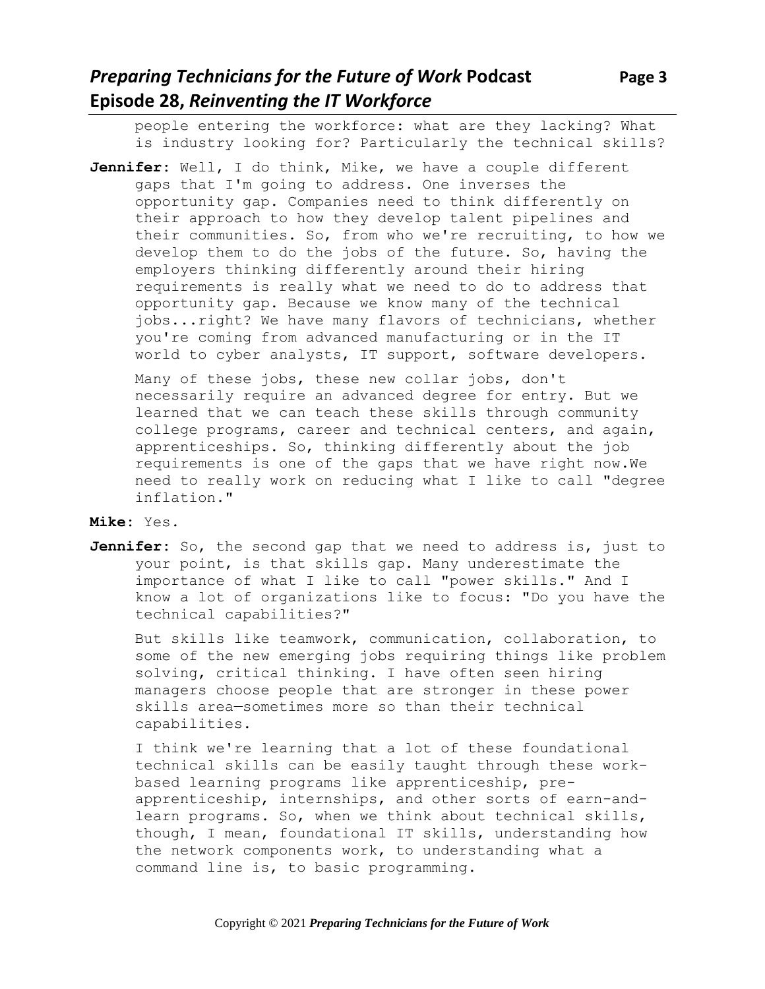people entering the workforce: what are they lacking? What is industry looking for? Particularly the technical skills?

**Jennifer:** Well, I do think, Mike, we have a couple different gaps that I'm going to address. One inverses the opportunity gap. Companies need to think differently on their approach to how they develop talent pipelines and their communities. So, from who we're recruiting, to how we develop them to do the jobs of the future. So, having the employers thinking differently around their hiring requirements is really what we need to do to address that opportunity gap. Because we know many of the technical jobs...right? We have many flavors of technicians, whether you're coming from advanced manufacturing or in the IT world to cyber analysts, IT support, software developers.

Many of these jobs, these new collar jobs, don't necessarily require an advanced degree for entry. But we learned that we can teach these skills through community college programs, career and technical centers, and again, apprenticeships. So, thinking differently about the job requirements is one of the gaps that we have right now.We need to really work on reducing what I like to call "degree inflation."

### **Mike:** Yes.

**Jennifer:** So, the second gap that we need to address is, just to your point, is that skills gap. Many underestimate the importance of what I like to call "power skills." And I know a lot of organizations like to focus: "Do you have the technical capabilities?"

But skills like teamwork, communication, collaboration, to some of the new emerging jobs requiring things like problem solving, critical thinking. I have often seen hiring managers choose people that are stronger in these power skills area—sometimes more so than their technical capabilities.

I think we're learning that a lot of these foundational technical skills can be easily taught through these workbased learning programs like apprenticeship, preapprenticeship, internships, and other sorts of earn-andlearn programs. So, when we think about technical skills, though, I mean, foundational IT skills, understanding how the network components work, to understanding what a command line is, to basic programming.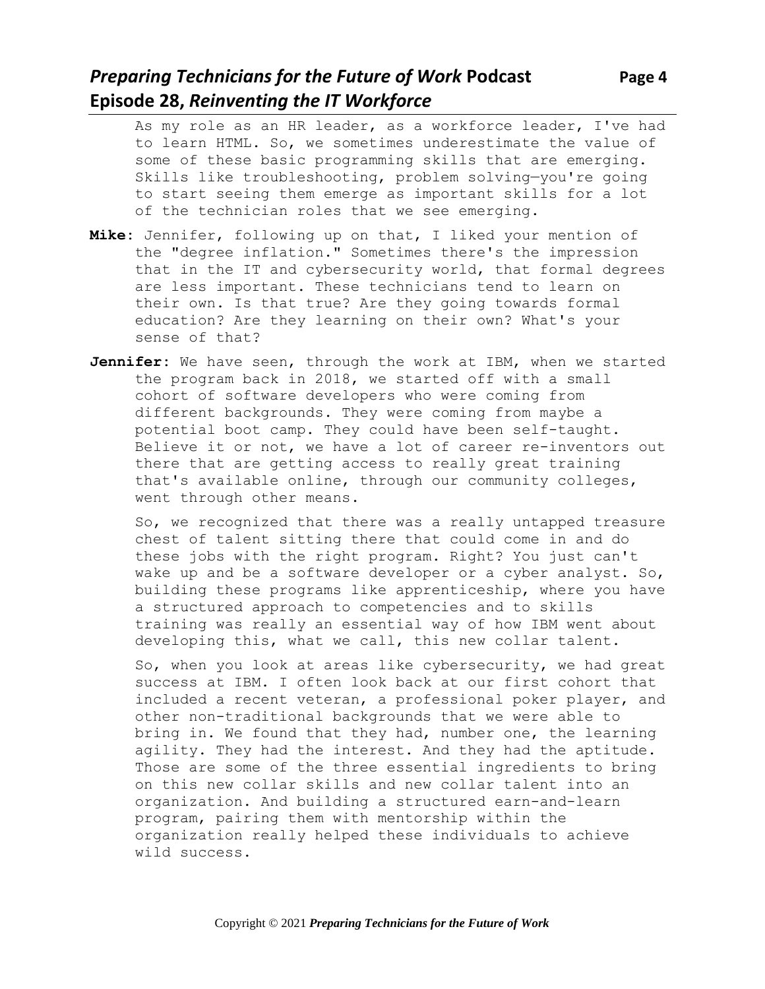# *Preparing Technicians for the Future of Work* **Podcast Page 4 Episode 28,** *Reinventing the IT Workforce*

As my role as an HR leader, as a workforce leader, I've had to learn HTML. So, we sometimes underestimate the value of some of these basic programming skills that are emerging. Skills like troubleshooting, problem solving—you're going to start seeing them emerge as important skills for a lot of the technician roles that we see emerging.

- **Mike:** Jennifer, following up on that, I liked your mention of the "degree inflation." Sometimes there's the impression that in the IT and cybersecurity world, that formal degrees are less important. These technicians tend to learn on their own. Is that true? Are they going towards formal education? Are they learning on their own? What's your sense of that?
- **Jennifer:** We have seen, through the work at IBM, when we started the program back in 2018, we started off with a small cohort of software developers who were coming from different backgrounds. They were coming from maybe a potential boot camp. They could have been self-taught. Believe it or not, we have a lot of career re-inventors out there that are getting access to really great training that's available online, through our community colleges, went through other means.

So, we recognized that there was a really untapped treasure chest of talent sitting there that could come in and do these jobs with the right program. Right? You just can't wake up and be a software developer or a cyber analyst. So, building these programs like apprenticeship, where you have a structured approach to competencies and to skills training was really an essential way of how IBM went about developing this, what we call, this new collar talent.

So, when you look at areas like cybersecurity, we had great success at IBM. I often look back at our first cohort that included a recent veteran, a professional poker player, and other non-traditional backgrounds that we were able to bring in. We found that they had, number one, the learning agility. They had the interest. And they had the aptitude. Those are some of the three essential ingredients to bring on this new collar skills and new collar talent into an organization. And building a structured earn-and-learn program, pairing them with mentorship within the organization really helped these individuals to achieve wild success.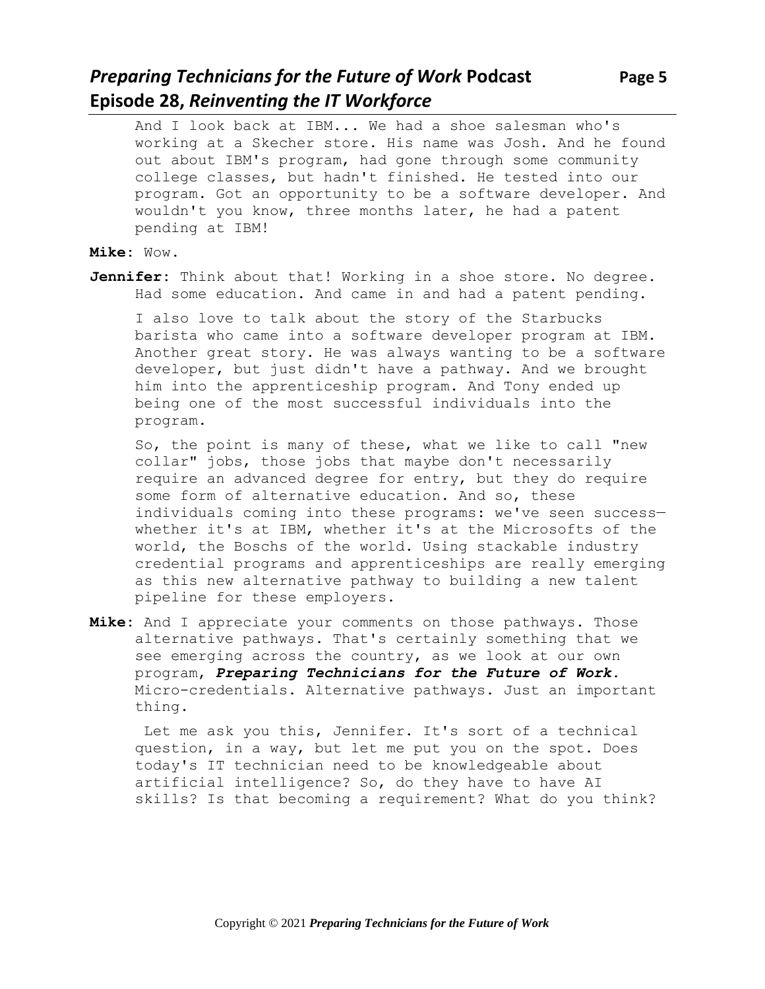# *Preparing Technicians for the Future of Work* **Podcast Page 5 Episode 28,** *Reinventing the IT Workforce*

And I look back at IBM... We had a shoe salesman who's working at a Skecher store. His name was Josh. And he found out about IBM's program, had gone through some community college classes, but hadn't finished. He tested into our program. Got an opportunity to be a software developer. And wouldn't you know, three months later, he had a patent pending at IBM!

### **Mike:** Wow.

**Jennifer:** Think about that! Working in a shoe store. No degree. Had some education. And came in and had a patent pending.

I also love to talk about the story of the Starbucks barista who came into a software developer program at IBM. Another great story. He was always wanting to be a software developer, but just didn't have a pathway. And we brought him into the apprenticeship program. And Tony ended up being one of the most successful individuals into the program.

So, the point is many of these, what we like to call "new collar" jobs, those jobs that maybe don't necessarily require an advanced degree for entry, but they do require some form of alternative education. And so, these individuals coming into these programs: we've seen success whether it's at IBM, whether it's at the Microsofts of the world, the Boschs of the world. Using stackable industry credential programs and apprenticeships are really emerging as this new alternative pathway to building a new talent pipeline for these employers.

**Mike:** And I appreciate your comments on those pathways. Those alternative pathways. That's certainly something that we see emerging across the country, as we look at our own program, *Preparing Technicians for the Future of Work*. Micro-credentials. Alternative pathways. Just an important thing.

Let me ask you this, Jennifer. It's sort of a technical question, in a way, but let me put you on the spot. Does today's IT technician need to be knowledgeable about artificial intelligence? So, do they have to have AI skills? Is that becoming a requirement? What do you think?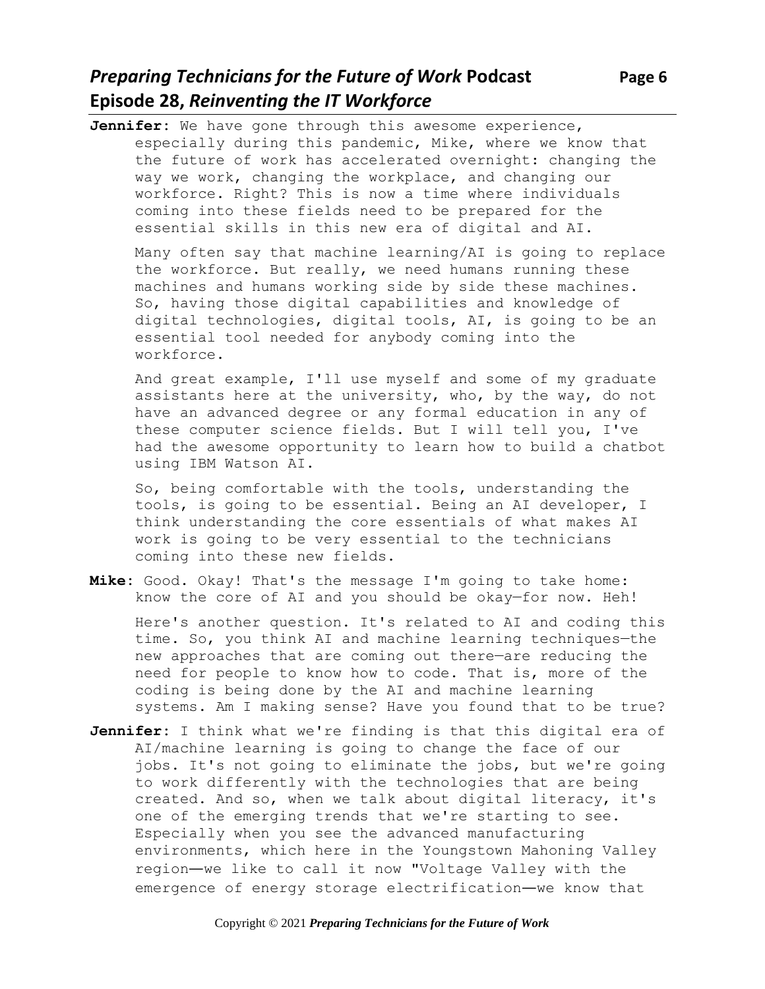# *Preparing Technicians for the Future of Work Podcast* **Page 6 Episode 28,** *Reinventing the IT Workforce*

**Jennifer:** We have gone through this awesome experience, especially during this pandemic, Mike, where we know that the future of work has accelerated overnight: changing the way we work, changing the workplace, and changing our workforce. Right? This is now a time where individuals coming into these fields need to be prepared for the essential skills in this new era of digital and AI.

Many often say that machine learning/AI is going to replace the workforce. But really, we need humans running these machines and humans working side by side these machines. So, having those digital capabilities and knowledge of digital technologies, digital tools, AI, is going to be an essential tool needed for anybody coming into the workforce.

And great example, I'll use myself and some of my graduate assistants here at the university, who, by the way, do not have an advanced degree or any formal education in any of these computer science fields. But I will tell you, I've had the awesome opportunity to learn how to build a chatbot using IBM Watson AI.

So, being comfortable with the tools, understanding the tools, is going to be essential. Being an AI developer, I think understanding the core essentials of what makes AI work is going to be very essential to the technicians coming into these new fields.

**Mike:** Good. Okay! That's the message I'm going to take home: know the core of AI and you should be okay—for now. Heh!

Here's another question. It's related to AI and coding this time. So, you think AI and machine learning techniques—the new approaches that are coming out there—are reducing the need for people to know how to code. That is, more of the coding is being done by the AI and machine learning systems. Am I making sense? Have you found that to be true?

**Jennifer:** I think what we're finding is that this digital era of AI/machine learning is going to change the face of our jobs. It's not going to eliminate the jobs, but we're going to work differently with the technologies that are being created. And so, when we talk about digital literacy, it's one of the emerging trends that we're starting to see. Especially when you see the advanced manufacturing environments, which here in the Youngstown Mahoning Valley region—we like to call it now "Voltage Valley with the emergence of energy storage electrification—we know that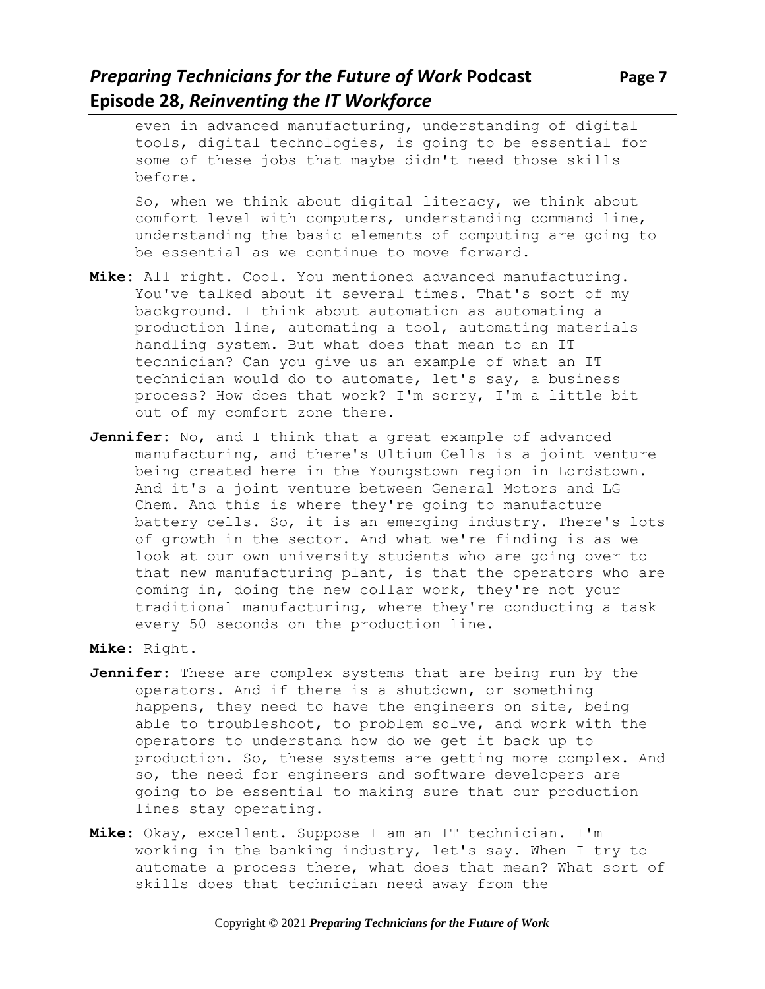# *Preparing Technicians for the Future of Work* **Podcast Page 7 Episode 28,** *Reinventing the IT Workforce*

So, when we think about digital literacy, we think about comfort level with computers, understanding command line, understanding the basic elements of computing are going to be essential as we continue to move forward.

- **Mike:** All right. Cool. You mentioned advanced manufacturing. You've talked about it several times. That's sort of my background. I think about automation as automating a production line, automating a tool, automating materials handling system. But what does that mean to an IT technician? Can you give us an example of what an IT technician would do to automate, let's say, a business process? How does that work? I'm sorry, I'm a little bit out of my comfort zone there.
- **Jennifer:** No, and I think that a great example of advanced manufacturing, and there's Ultium Cells is a joint venture being created here in the Youngstown region in Lordstown. And it's a joint venture between General Motors and LG Chem. And this is where they're going to manufacture battery cells. So, it is an emerging industry. There's lots of growth in the sector. And what we're finding is as we look at our own university students who are going over to that new manufacturing plant, is that the operators who are coming in, doing the new collar work, they're not your traditional manufacturing, where they're conducting a task every 50 seconds on the production line.
- **Mike:** Right.
- **Jennifer:** These are complex systems that are being run by the operators. And if there is a shutdown, or something happens, they need to have the engineers on site, being able to troubleshoot, to problem solve, and work with the operators to understand how do we get it back up to production. So, these systems are getting more complex. And so, the need for engineers and software developers are going to be essential to making sure that our production lines stay operating.
- **Mike:** Okay, excellent. Suppose I am an IT technician. I'm working in the banking industry, let's say. When I try to automate a process there, what does that mean? What sort of skills does that technician need—away from the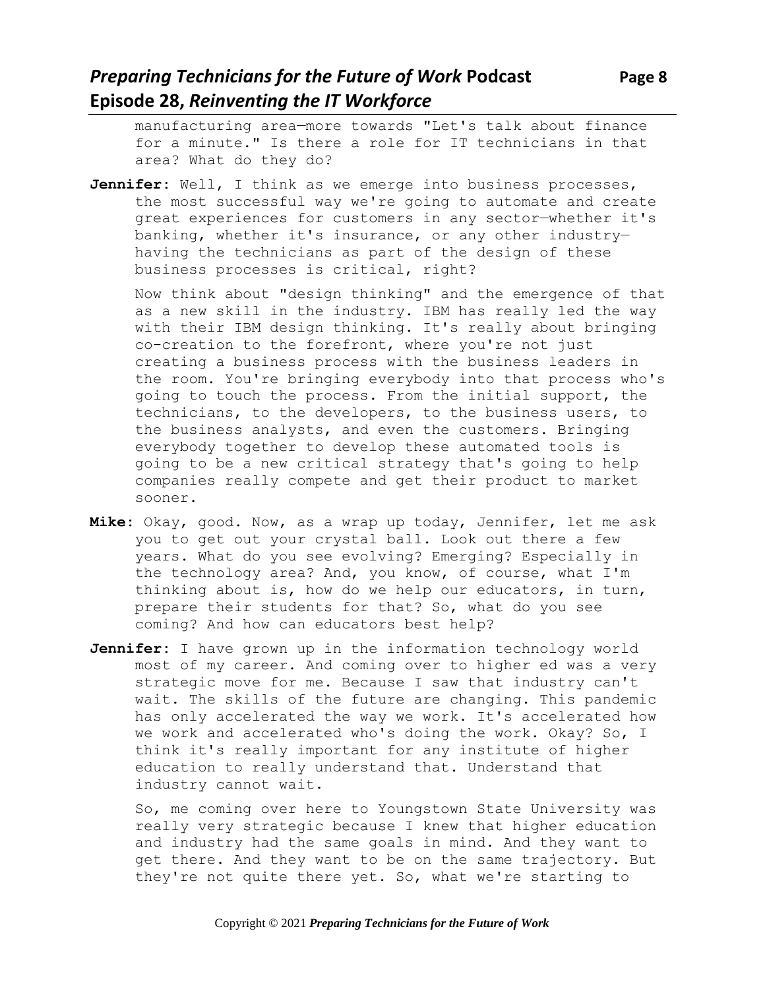manufacturing area—more towards "Let's talk about finance for a minute." Is there a role for IT technicians in that area? What do they do?

Jennifer: Well, I think as we emerge into business processes, the most successful way we're going to automate and create great experiences for customers in any sector—whether it's banking, whether it's insurance, or any other industry having the technicians as part of the design of these business processes is critical, right?

Now think about "design thinking" and the emergence of that as a new skill in the industry. IBM has really led the way with their IBM design thinking. It's really about bringing co-creation to the forefront, where you're not just creating a business process with the business leaders in the room. You're bringing everybody into that process who's going to touch the process. From the initial support, the technicians, to the developers, to the business users, to the business analysts, and even the customers. Bringing everybody together to develop these automated tools is going to be a new critical strategy that's going to help companies really compete and get their product to market sooner.

- **Mike:** Okay, good. Now, as a wrap up today, Jennifer, let me ask you to get out your crystal ball. Look out there a few years. What do you see evolving? Emerging? Especially in the technology area? And, you know, of course, what I'm thinking about is, how do we help our educators, in turn, prepare their students for that? So, what do you see coming? And how can educators best help?
- **Jennifer:** I have grown up in the information technology world most of my career. And coming over to higher ed was a very strategic move for me. Because I saw that industry can't wait. The skills of the future are changing. This pandemic has only accelerated the way we work. It's accelerated how we work and accelerated who's doing the work. Okay? So, I think it's really important for any institute of higher education to really understand that. Understand that industry cannot wait.

So, me coming over here to Youngstown State University was really very strategic because I knew that higher education and industry had the same goals in mind. And they want to get there. And they want to be on the same trajectory. But they're not quite there yet. So, what we're starting to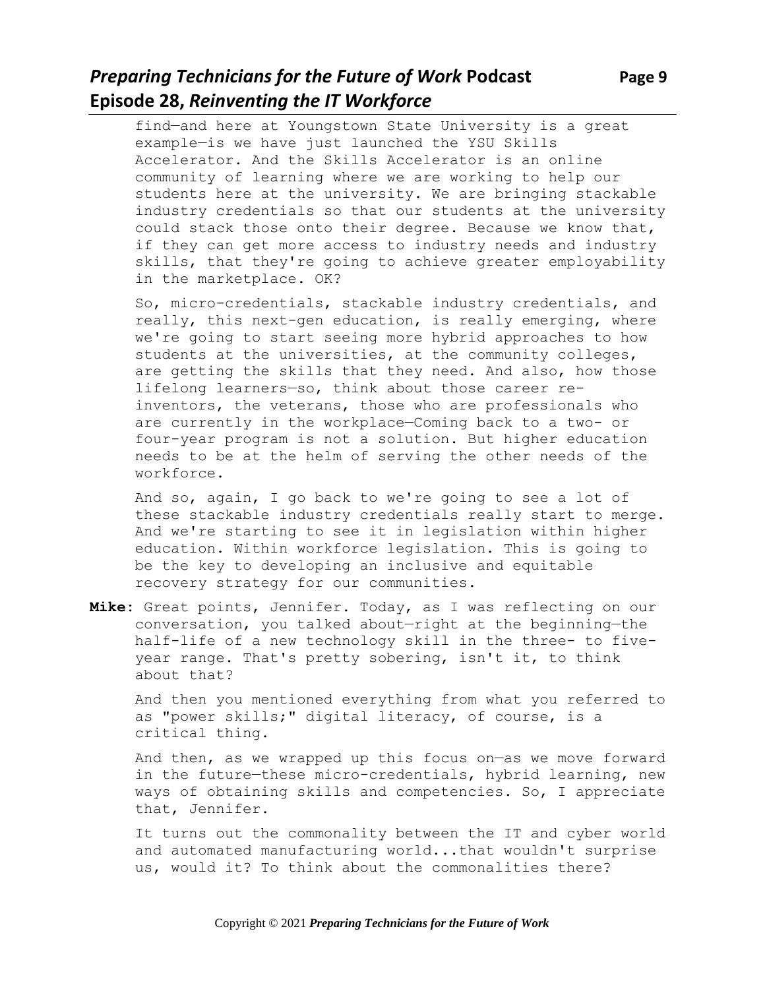# *Preparing Technicians for the Future of Work Podcast* **Page 9 Episode 28,** *Reinventing the IT Workforce*

find—and here at Youngstown State University is a great example—is we have just launched the YSU Skills Accelerator. And the Skills Accelerator is an online community of learning where we are working to help our students here at the university. We are bringing stackable industry credentials so that our students at the university could stack those onto their degree. Because we know that, if they can get more access to industry needs and industry skills, that they're going to achieve greater employability in the marketplace. OK?

So, micro-credentials, stackable industry credentials, and really, this next-gen education, is really emerging, where we're going to start seeing more hybrid approaches to how students at the universities, at the community colleges, are getting the skills that they need. And also, how those lifelong learners—so, think about those career reinventors, the veterans, those who are professionals who are currently in the workplace—Coming back to a two- or four-year program is not a solution. But higher education needs to be at the helm of serving the other needs of the workforce.

And so, again, I go back to we're going to see a lot of these stackable industry credentials really start to merge. And we're starting to see it in legislation within higher education. Within workforce legislation. This is going to be the key to developing an inclusive and equitable recovery strategy for our communities.

**Mike:** Great points, Jennifer. Today, as I was reflecting on our conversation, you talked about—right at the beginning—the half-life of a new technology skill in the three- to fiveyear range. That's pretty sobering, isn't it, to think about that?

And then you mentioned everything from what you referred to as "power skills;" digital literacy, of course, is a critical thing.

And then, as we wrapped up this focus on—as we move forward in the future—these micro-credentials, hybrid learning, new ways of obtaining skills and competencies. So, I appreciate that, Jennifer.

It turns out the commonality between the IT and cyber world and automated manufacturing world...that wouldn't surprise us, would it? To think about the commonalities there?